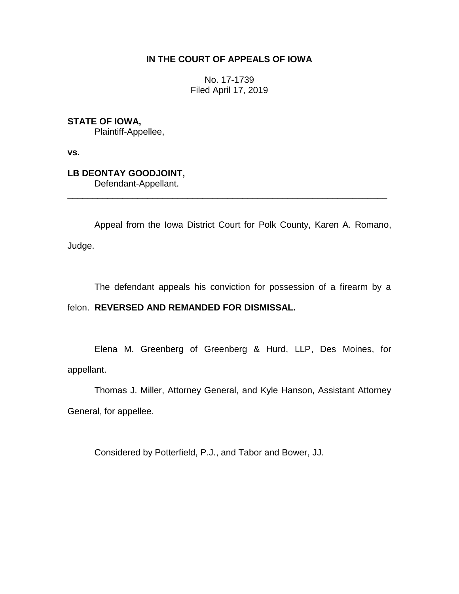## **IN THE COURT OF APPEALS OF IOWA**

No. 17-1739 Filed April 17, 2019

**STATE OF IOWA,**

Plaintiff-Appellee,

**vs.**

**LB DEONTAY GOODJOINT,** Defendant-Appellant.

Appeal from the Iowa District Court for Polk County, Karen A. Romano, Judge.

\_\_\_\_\_\_\_\_\_\_\_\_\_\_\_\_\_\_\_\_\_\_\_\_\_\_\_\_\_\_\_\_\_\_\_\_\_\_\_\_\_\_\_\_\_\_\_\_\_\_\_\_\_\_\_\_\_\_\_\_\_\_\_\_

The defendant appeals his conviction for possession of a firearm by a

## felon. **REVERSED AND REMANDED FOR DISMISSAL.**

Elena M. Greenberg of Greenberg & Hurd, LLP, Des Moines, for appellant.

Thomas J. Miller, Attorney General, and Kyle Hanson, Assistant Attorney General, for appellee.

Considered by Potterfield, P.J., and Tabor and Bower, JJ.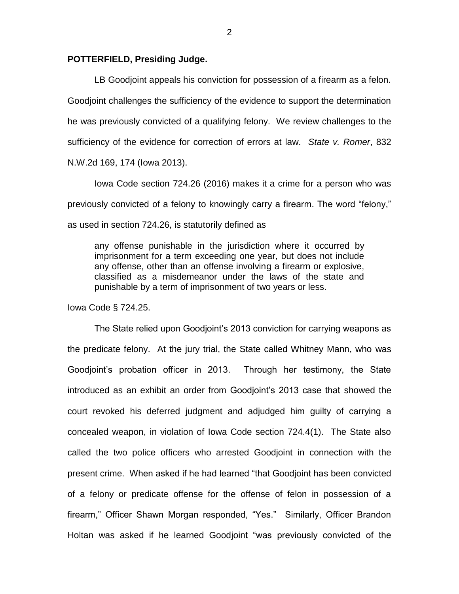## **POTTERFIELD, Presiding Judge.**

LB Goodjoint appeals his conviction for possession of a firearm as a felon. Goodjoint challenges the sufficiency of the evidence to support the determination he was previously convicted of a qualifying felony. We review challenges to the sufficiency of the evidence for correction of errors at law. *State v. Romer*, 832 N.W.2d 169, 174 (Iowa 2013).

Iowa Code section 724.26 (2016) makes it a crime for a person who was previously convicted of a felony to knowingly carry a firearm. The word "felony," as used in section 724.26, is statutorily defined as

any offense punishable in the jurisdiction where it occurred by imprisonment for a term exceeding one year, but does not include any offense, other than an offense involving a firearm or explosive, classified as a misdemeanor under the laws of the state and punishable by a term of imprisonment of two years or less.

Iowa Code § 724.25.

The State relied upon Goodjoint's 2013 conviction for carrying weapons as the predicate felony. At the jury trial, the State called Whitney Mann, who was Goodjoint's probation officer in 2013. Through her testimony, the State introduced as an exhibit an order from Goodjoint's 2013 case that showed the court revoked his deferred judgment and adjudged him guilty of carrying a concealed weapon, in violation of Iowa Code section 724.4(1). The State also called the two police officers who arrested Goodjoint in connection with the present crime. When asked if he had learned "that Goodjoint has been convicted of a felony or predicate offense for the offense of felon in possession of a firearm," Officer Shawn Morgan responded, "Yes." Similarly, Officer Brandon Holtan was asked if he learned Goodjoint "was previously convicted of the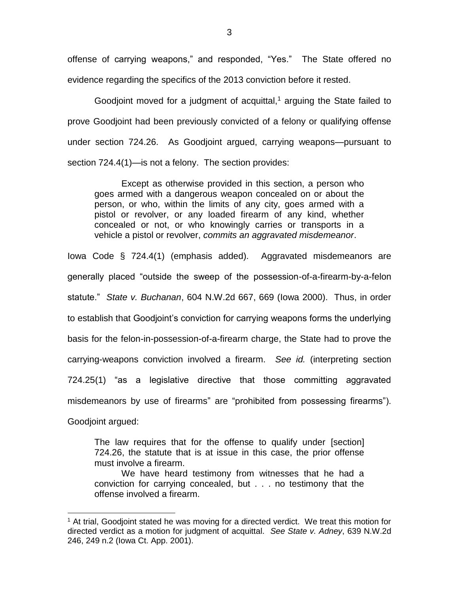offense of carrying weapons," and responded, "Yes." The State offered no evidence regarding the specifics of the 2013 conviction before it rested.

Goodjoint moved for a judgment of acquittal,<sup>1</sup> arguing the State failed to prove Goodjoint had been previously convicted of a felony or qualifying offense under section 724.26. As Goodjoint argued, carrying weapons—pursuant to section 724.4(1)—is not a felony. The section provides:

Except as otherwise provided in this section, a person who goes armed with a dangerous weapon concealed on or about the person, or who, within the limits of any city, goes armed with a pistol or revolver, or any loaded firearm of any kind, whether concealed or not, or who knowingly carries or transports in a vehicle a pistol or revolver, *commits an aggravated misdemeanor*.

Iowa Code § 724.4(1) (emphasis added). Aggravated misdemeanors are generally placed "outside the sweep of the possession-of-a-firearm-by-a-felon statute." *State v. Buchanan*, 604 N.W.2d 667, 669 (Iowa 2000). Thus, in order to establish that Goodjoint's conviction for carrying weapons forms the underlying basis for the felon-in-possession-of-a-firearm charge, the State had to prove the carrying-weapons conviction involved a firearm. *See id.* (interpreting section 724.25(1) "as a legislative directive that those committing aggravated misdemeanors by use of firearms" are "prohibited from possessing firearms"). Goodjoint argued:

The law requires that for the offense to qualify under [section] 724.26, the statute that is at issue in this case, the prior offense must involve a firearm.

 $\overline{a}$ 

We have heard testimony from witnesses that he had a conviction for carrying concealed, but . . . no testimony that the offense involved a firearm.

 $<sup>1</sup>$  At trial, Goodjoint stated he was moving for a directed verdict. We treat this motion for</sup> directed verdict as a motion for judgment of acquittal. *See State v. Adney*, 639 N.W.2d 246, 249 n.2 (Iowa Ct. App. 2001).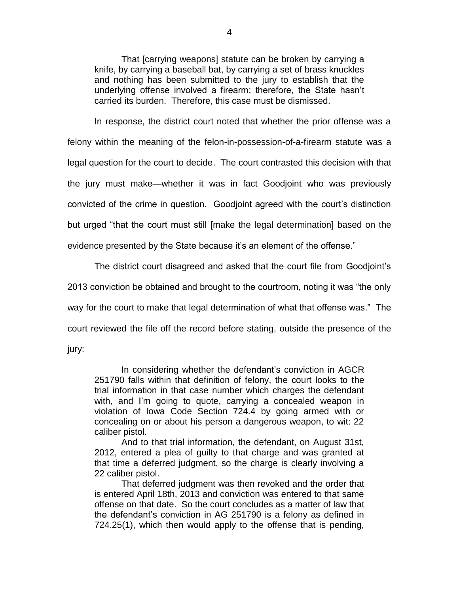That [carrying weapons] statute can be broken by carrying a knife, by carrying a baseball bat, by carrying a set of brass knuckles and nothing has been submitted to the jury to establish that the underlying offense involved a firearm; therefore, the State hasn't carried its burden. Therefore, this case must be dismissed.

In response, the district court noted that whether the prior offense was a felony within the meaning of the felon-in-possession-of-a-firearm statute was a legal question for the court to decide. The court contrasted this decision with that the jury must make—whether it was in fact Goodjoint who was previously convicted of the crime in question. Goodjoint agreed with the court's distinction but urged "that the court must still [make the legal determination] based on the evidence presented by the State because it's an element of the offense."

The district court disagreed and asked that the court file from Goodjoint's

2013 conviction be obtained and brought to the courtroom, noting it was "the only

way for the court to make that legal determination of what that offense was." The

court reviewed the file off the record before stating, outside the presence of the

jury:

In considering whether the defendant's conviction in AGCR 251790 falls within that definition of felony, the court looks to the trial information in that case number which charges the defendant with, and I'm going to quote, carrying a concealed weapon in violation of Iowa Code Section 724.4 by going armed with or concealing on or about his person a dangerous weapon, to wit: 22 caliber pistol.

And to that trial information, the defendant, on August 31st, 2012, entered a plea of guilty to that charge and was granted at that time a deferred judgment, so the charge is clearly involving a 22 caliber pistol.

That deferred judgment was then revoked and the order that is entered April 18th, 2013 and conviction was entered to that same offense on that date. So the court concludes as a matter of law that the defendant's conviction in AG 251790 is a felony as defined in 724.25(1), which then would apply to the offense that is pending,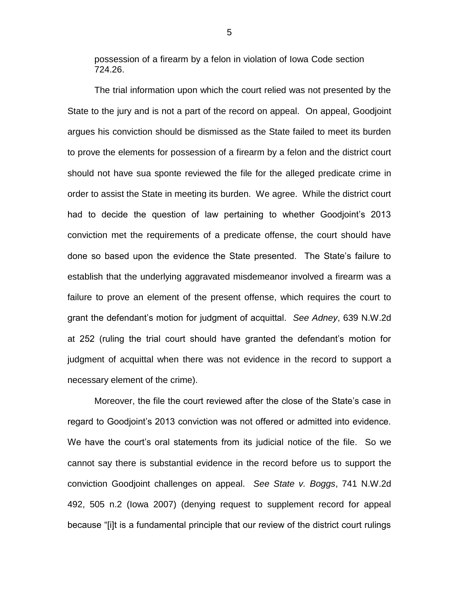possession of a firearm by a felon in violation of Iowa Code section 724.26.

The trial information upon which the court relied was not presented by the State to the jury and is not a part of the record on appeal. On appeal, Goodjoint argues his conviction should be dismissed as the State failed to meet its burden to prove the elements for possession of a firearm by a felon and the district court should not have sua sponte reviewed the file for the alleged predicate crime in order to assist the State in meeting its burden. We agree. While the district court had to decide the question of law pertaining to whether Goodjoint's 2013 conviction met the requirements of a predicate offense, the court should have done so based upon the evidence the State presented. The State's failure to establish that the underlying aggravated misdemeanor involved a firearm was a failure to prove an element of the present offense, which requires the court to grant the defendant's motion for judgment of acquittal. *See Adney*, 639 N.W.2d at 252 (ruling the trial court should have granted the defendant's motion for judgment of acquittal when there was not evidence in the record to support a necessary element of the crime).

Moreover, the file the court reviewed after the close of the State's case in regard to Goodjoint's 2013 conviction was not offered or admitted into evidence. We have the court's oral statements from its judicial notice of the file. So we cannot say there is substantial evidence in the record before us to support the conviction Goodjoint challenges on appeal. *See State v. Boggs*, 741 N.W.2d 492, 505 n.2 (Iowa 2007) (denying request to supplement record for appeal because "[i]t is a fundamental principle that our review of the district court rulings

5